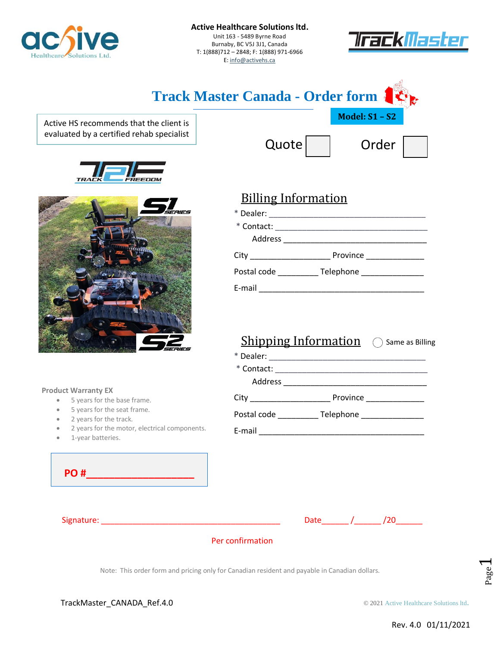

**Active Healthcare Solutions ltd.** Unit 163 - 5489 Byrne Road Burnaby, BC V5J 3J1, Canada T: 1(888)712 – 2848; F: 1(888) 971-6966 E: [info@activehs.ca](file:///E:/Active%20HS/Documents/Catalog/3D%20joystick/info@activehs.ca)





© 2021 [Active Healthcare Solutions ltd](http://activehs.ca/).

Page  $\overline{\phantom{0}}$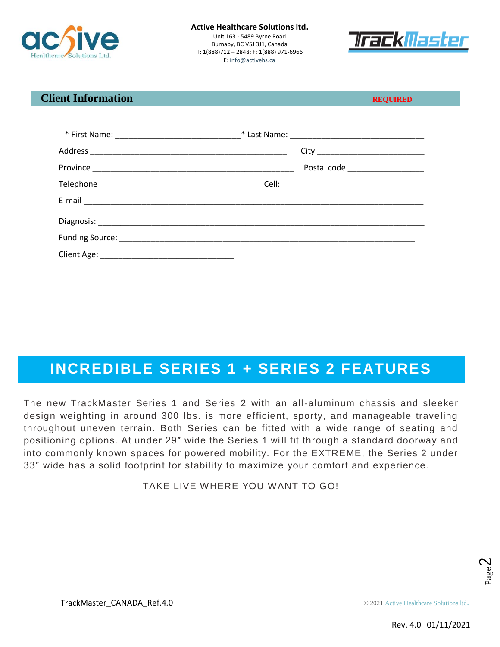



#### *Client Information REQUIRED*

| Postal code _____________________ |
|-----------------------------------|
|                                   |
|                                   |
|                                   |
|                                   |
|                                   |

# **INCREDIBLE SERIES 1 + SERIES 2 FEATURES**

The new TrackMaster Series 1 and Series 2 with an all-aluminum chassis and sleeker design weighting in around 300 lbs. is more efficient, sporty, and manageable traveling throughout uneven terrain. Both Series can be fitted with a wide range of seating and positioning options. At under 29" wide the Series 1 will fit through a standard doorway and into commonly known spaces for powered mobility. For the EXTREME, the Series 2 under 33″ wide has a solid footprint for stability to maximize your comfort and experience.

TAKE LIVE WHERE YOU WANT TO GO!

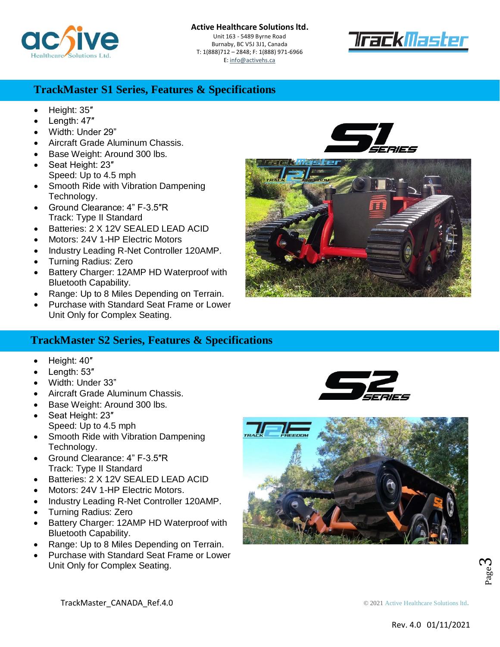

E: [info@activehs.ca](file:///E:/Active%20HS/Documents/Catalog/3D%20joystick/info@activehs.ca)



### **TrackMaster S1 Series, Features & Specifications**

- Height: 35″
- Length: 47″
- Width: Under 29"
- Aircraft Grade Aluminum Chassis.
- Base Weight: Around 300 lbs.
- Seat Height: 23" Speed: Up to 4.5 mph
- Smooth Ride with Vibration Dampening Technology.
- Ground Clearance: 4" F-3.5″R Track: Type II Standard
- Batteries: 2 X 12V SEALED LEAD ACID
- Motors: 24V 1-HP Electric Motors
- Industry Leading R-Net Controller 120AMP.
- Turning Radius: Zero
- Battery Charger: 12AMP HD Waterproof with Bluetooth Capability.
- Range: Up to 8 Miles Depending on Terrain.
- Purchase with Standard Seat Frame or Lower Unit Only for Complex Seating.

## **TrackMaster S2 Series, Features & Specifications**

- Height: 40″
- Length: 53″
- Width: Under 33"
- Aircraft Grade Aluminum Chassis.
- Base Weight: Around 300 lbs.
- Seat Height: 23″ Speed: Up to 4.5 mph
- Smooth Ride with Vibration Dampening Technology.
- Ground Clearance: 4" F-3.5″R Track: Type II Standard
- Batteries: 2 X 12V SEALED LEAD ACID
- Motors: 24V 1-HP Electric Motors.
- Industry Leading R-Net Controller 120AMP.
- Turning Radius: Zero
- Battery Charger: 12AMP HD Waterproof with Bluetooth Capability.
- Range: Up to 8 Miles Depending on Terrain.
- Purchase with Standard Seat Frame or Lower Unit Only for Complex Seating.









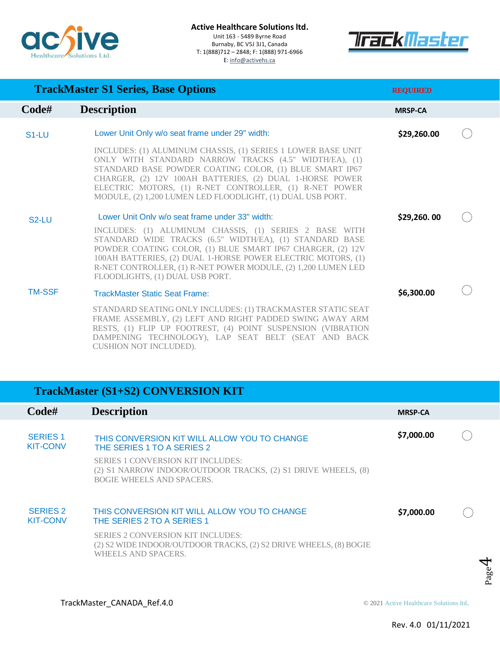

<u> NrackMaster</u>

Burnaby, BC V5J 3J1, Canada T: 1(888)712 – 2848; F: 1(888) 971-6966 E: [info@activehs.ca](file:///E:/Active%20HS/Documents/Catalog/3D%20joystick/info@activehs.ca)

| <b>TrackMaster S1 Series, Base Options</b> |                                                                                                                                                                                                                                                                                                                                                                      | <b>REQUIRED</b> |  |
|--------------------------------------------|----------------------------------------------------------------------------------------------------------------------------------------------------------------------------------------------------------------------------------------------------------------------------------------------------------------------------------------------------------------------|-----------------|--|
| Code#                                      | <b>Description</b>                                                                                                                                                                                                                                                                                                                                                   | <b>MRSP-CA</b>  |  |
| S <sub>1</sub> -LU                         | Lower Unit Only w/o seat frame under 29" width:                                                                                                                                                                                                                                                                                                                      | \$29,260.00     |  |
|                                            | INCLUDES: (1) ALUMINUM CHASSIS, (1) SERIES 1 LOWER BASE UNIT<br>ONLY WITH STANDARD NARROW TRACKS (4.5" WIDTH/EA), (1)<br>STANDARD BASE POWDER COATING COLOR, (1) BLUE SMART IP67<br>CHARGER, (2) 12V 100AH BATTERIES, (2) DUAL 1-HORSE POWER<br>ELECTRIC MOTORS, (1) R-NET CONTROLLER, (1) R-NET POWER<br>MODULE, (2) 1,200 LUMEN LED FLOODLIGHT, (1) DUAL USB PORT. |                 |  |
| S <sub>2</sub> -LU                         | Lower Unit Only w/o seat frame under 33" width:                                                                                                                                                                                                                                                                                                                      | \$29,260.00     |  |
|                                            | INCLUDES: (1) ALUMINUM CHASSIS, (1) SERIES 2 BASE WITH<br>STANDARD WIDE TRACKS (6.5" WIDTH/EA), (1) STANDARD BASE<br>POWDER COATING COLOR, (1) BLUE SMART IP67 CHARGER, (2) 12V<br>100AH BATTERIES, (2) DUAL 1-HORSE POWER ELECTRIC MOTORS, (1)<br>R-NET CONTROLLER, (1) R-NET POWER MODULE, (2) 1,200 LUMEN LED<br>FLOODLIGHTS, (1) DUAL USB PORT.                  |                 |  |
| <b>TM-SSF</b>                              | <b>TrackMaster Static Seat Frame:</b>                                                                                                                                                                                                                                                                                                                                | \$6,300.00      |  |
|                                            | STANDARD SEATING ONLY INCLUDES: (1) TRACKMASTER STATIC SEAT<br>FRAME ASSEMBLY, (2) LEFT AND RIGHT PADDED SWING AWAY ARM<br>RESTS, (1) FLIP UP FOOTREST, (4) POINT SUSPENSION (VIBRATION<br>DAMPENING TECHNOLOGY), LAP SEAT BELT (SEAT AND BACK<br><b>CUSHION NOT INCLUDED).</b>                                                                                      |                 |  |

### **TrackMaster (S1+S2) CONVERSION KIT**

| Code#                              | <b>Description</b>                                                                                                                                                                                                          | <b>MRSP-CA</b> |                |
|------------------------------------|-----------------------------------------------------------------------------------------------------------------------------------------------------------------------------------------------------------------------------|----------------|----------------|
| <b>SERIES 1</b><br><b>KIT-CONV</b> | THIS CONVERSION KIT WILL ALLOW YOU TO CHANGE<br>THE SERIES 1 TO A SERIES 2<br><b>SERIES 1 CONVERSION KIT INCLUDES:</b><br>(2) S1 NARROW INDOOR/OUTDOOR TRACKS, (2) S1 DRIVE WHEELS, (8)<br><b>BOGIE WHEELS AND SPACERS.</b> | \$7,000.00     |                |
| <b>SERIES 2</b><br><b>KIT-CONV</b> | THIS CONVERSION KIT WILL ALLOW YOU TO CHANGE<br>THE SERIES 2 TO A SERIES 1                                                                                                                                                  | \$7,000.00     |                |
|                                    | <b>SERIES 2 CONVERSION KIT INCLUDES:</b><br>(2) S2 WIDE INDOOR/OUTDOOR TRACKS, (2) S2 DRIVE WHEELS, (8) BOGIE<br>WHEELS AND SPACERS.                                                                                        |                | $_{\rm Page}4$ |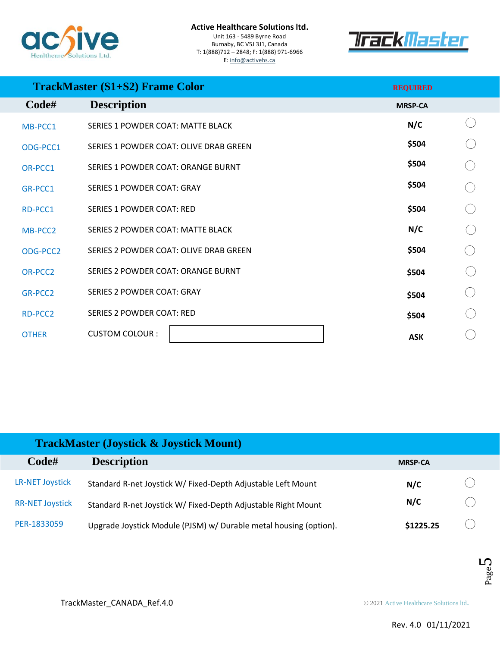

Unit 163 - 5489 Byrne Road Burnaby, BC V5J 3J1, Canada T: 1(888)712 – 2848; F: 1(888) 971-6966 E: [info@activehs.ca](file:///E:/Active%20HS/Documents/Catalog/3D%20joystick/info@activehs.ca)



| <b>TrackMaster (S1+S2) Frame Color</b> |                                           | <b>REQUIRED</b> |
|----------------------------------------|-------------------------------------------|-----------------|
| Code#                                  | <b>Description</b>                        | <b>MRSP-CA</b>  |
| MB-PCC1                                | <b>SERIES 1 POWDER COAT: MATTE BLACK</b>  | N/C             |
| ODG-PCC1                               | SERIES 1 POWDER COAT: OLIVE DRAB GREEN    | \$504           |
| OR-PCC1                                | SERIES 1 POWDER COAT: ORANGE BURNT        | \$504           |
| GR-PCC1                                | <b>SERIES 1 POWDER COAT: GRAY</b>         | \$504           |
| RD-PCC1                                | <b>SERIES 1 POWDER COAT: RED</b>          | \$504           |
| MB-PCC <sub>2</sub>                    | <b>SERIES 2 POWDER COAT: MATTE BLACK</b>  | N/C             |
| ODG-PCC2                               | SERIES 2 POWDER COAT: OLIVE DRAB GREEN    | \$504           |
| OR-PCC <sub>2</sub>                    | <b>SERIES 2 POWDER COAT: ORANGE BURNT</b> | \$504           |
| GR-PCC2                                | <b>SERIES 2 POWDER COAT: GRAY</b>         | \$504           |
| RD-PCC2                                | <b>SERIES 2 POWDER COAT: RED</b>          | \$504           |
| <b>OTHER</b>                           | <b>CUSTOM COLOUR:</b>                     | <b>ASK</b>      |

| <b>TrackMaster (Joystick &amp; Joystick Mount)</b> |                                                                   |                |  |  |
|----------------------------------------------------|-------------------------------------------------------------------|----------------|--|--|
| $\mathbf{Code}^{\#}$                               | <b>Description</b>                                                | <b>MRSP-CA</b> |  |  |
| <b>LR-NET Joystick</b>                             | Standard R-net Joystick W/ Fixed-Depth Adjustable Left Mount      | N/C            |  |  |
| <b>RR-NET Joystick</b>                             | Standard R-net Joystick W/ Fixed-Depth Adjustable Right Mount     | N/C            |  |  |
| PER-1833059                                        | Upgrade Joystick Module (PJSM) w/ Durable metal housing (option). | \$1225.25      |  |  |

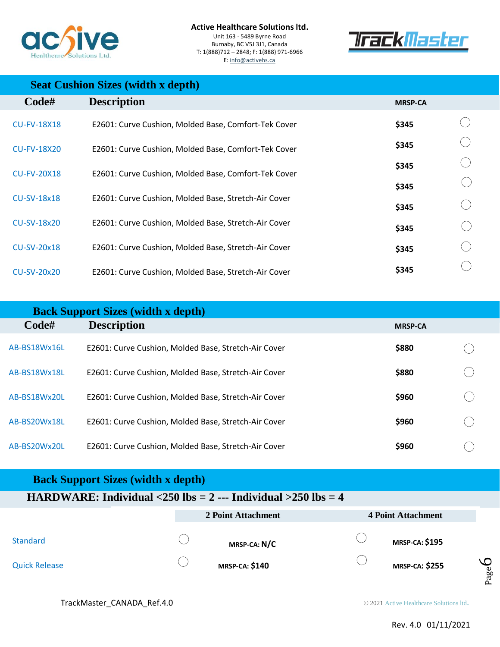

Unit 163 - 5489 Byrne Road Burnaby, BC V5J 3J1, Canada T: 1(888)712 – 2848; F: 1(888) 971-6966 E: [info@activehs.ca](file:///E:/Active%20HS/Documents/Catalog/3D%20joystick/info@activehs.ca)



| <b>Seat Cushion Sizes (width x depth)</b> |
|-------------------------------------------|
|-------------------------------------------|

| Code#              | <b>Description</b>                                   | <b>MRSP-CA</b> |
|--------------------|------------------------------------------------------|----------------|
| <b>CU-FV-18X18</b> | E2601: Curve Cushion, Molded Base, Comfort-Tek Cover | \$345          |
| <b>CU-FV-18X20</b> | E2601: Curve Cushion, Molded Base, Comfort-Tek Cover | \$345          |
| <b>CU-FV-20X18</b> | E2601: Curve Cushion, Molded Base, Comfort-Tek Cover | \$345          |
|                    |                                                      | \$345          |
| <b>CU-SV-18x18</b> | E2601: Curve Cushion, Molded Base, Stretch-Air Cover | \$345          |
| CU-SV-18x20        | E2601: Curve Cushion, Molded Base, Stretch-Air Cover | \$345          |
| CU-SV-20x18        | E2601: Curve Cushion, Molded Base, Stretch-Air Cover | \$345          |
| CU-SV-20x20        | E2601: Curve Cushion, Molded Base, Stretch-Air Cover | \$345          |

|              | <b>Back Support Sizes (width x depth)</b>            |                |  |
|--------------|------------------------------------------------------|----------------|--|
| Code#        | <b>Description</b>                                   | <b>MRSP-CA</b> |  |
| AB-BS18Wx16L | E2601: Curve Cushion, Molded Base, Stretch-Air Cover | \$880          |  |
| AB-BS18Wx18L | E2601: Curve Cushion, Molded Base, Stretch-Air Cover | \$880          |  |
| AB-BS18Wx20L | E2601: Curve Cushion, Molded Base, Stretch-Air Cover | \$960          |  |
| AB-BS20Wx18L | E2601: Curve Cushion, Molded Base, Stretch-Air Cover | \$960          |  |
| AB-BS20Wx20L | E2601: Curve Cushion, Molded Base, Stretch-Air Cover | \$960          |  |

## **Back Support Sizes (width x depth)**

|                      | 2 Point Attachment    | <b>4 Point Attachment</b> |  |
|----------------------|-----------------------|---------------------------|--|
| Standard             | MRSP-CA: N/C          | <b>MRSP-CA: \$195</b>     |  |
| <b>Quick Release</b> | <b>MRSP-CA: \$140</b> | <b>MRSP-CA: \$255</b>     |  |



TrackMaster\_CANADA\_Ref.4.0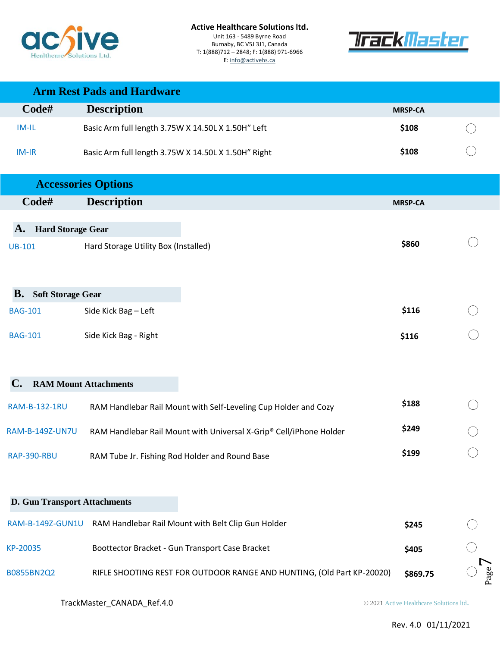

m **Post Pads and Hard** 



Unit 163 - 5489 Byrne Road Burnaby, BC V5J 3J1, Canada T: 1(888)712 – 2848; F: 1(888) 971-6966 E: [info@activehs.ca](file:///E:/Active%20HS/Documents/Catalog/3D%20joystick/info@activehs.ca)

|                                       | ATHI NEST I aus and Tiaruware                       |                                                                        |                |      |
|---------------------------------------|-----------------------------------------------------|------------------------------------------------------------------------|----------------|------|
| Code#                                 | <b>Description</b>                                  |                                                                        | <b>MRSP-CA</b> |      |
| $IM-IL$                               | Basic Arm full length 3.75W X 14.50L X 1.50H" Left  |                                                                        | \$108          |      |
| IM-IR                                 | Basic Arm full length 3.75W X 14.50L X 1.50H" Right |                                                                        | \$108          |      |
|                                       | <b>Accessories Options</b>                          |                                                                        |                |      |
| Code#                                 | <b>Description</b>                                  |                                                                        | <b>MRSP-CA</b> |      |
| <b>Hard Storage Gear</b><br><b>A.</b> |                                                     |                                                                        |                |      |
| <b>UB-101</b>                         | Hard Storage Utility Box (Installed)                |                                                                        | \$860          |      |
|                                       |                                                     |                                                                        |                |      |
| <b>Soft Storage Gear</b><br><b>B.</b> |                                                     |                                                                        |                |      |
| <b>BAG-101</b>                        | Side Kick Bag - Left                                |                                                                        | \$116          |      |
|                                       |                                                     |                                                                        |                |      |
| <b>BAG-101</b>                        | Side Kick Bag - Right                               |                                                                        | \$116          |      |
|                                       |                                                     |                                                                        |                |      |
| $\mathbf{C}$ .                        | <b>RAM Mount Attachments</b>                        |                                                                        |                |      |
| <b>RAM-B-132-1RU</b>                  |                                                     | RAM Handlebar Rail Mount with Self-Leveling Cup Holder and Cozy        | \$188          |      |
| <b>RAM-B-149Z-UN7U</b>                |                                                     | RAM Handlebar Rail Mount with Universal X-Grip® Cell/iPhone Holder     | \$249          |      |
| <b>RAP-390-RBU</b>                    | RAM Tube Jr. Fishing Rod Holder and Round Base      |                                                                        | \$199          |      |
|                                       |                                                     |                                                                        |                |      |
| <b>D. Gun Transport Attachments</b>   |                                                     |                                                                        |                |      |
| <b>RAM-B-149Z-GUN1U</b>               | RAM Handlebar Rail Mount with Belt Clip Gun Holder  |                                                                        | \$245          |      |
| KP-20035                              | Boottector Bracket - Gun Transport Case Bracket     |                                                                        | \$405          |      |
| B0855BN2Q2                            |                                                     | RIFLE SHOOTING REST FOR OUTDOOR RANGE AND HUNTING, (Old Part KP-20020) | \$869.75       | Page |